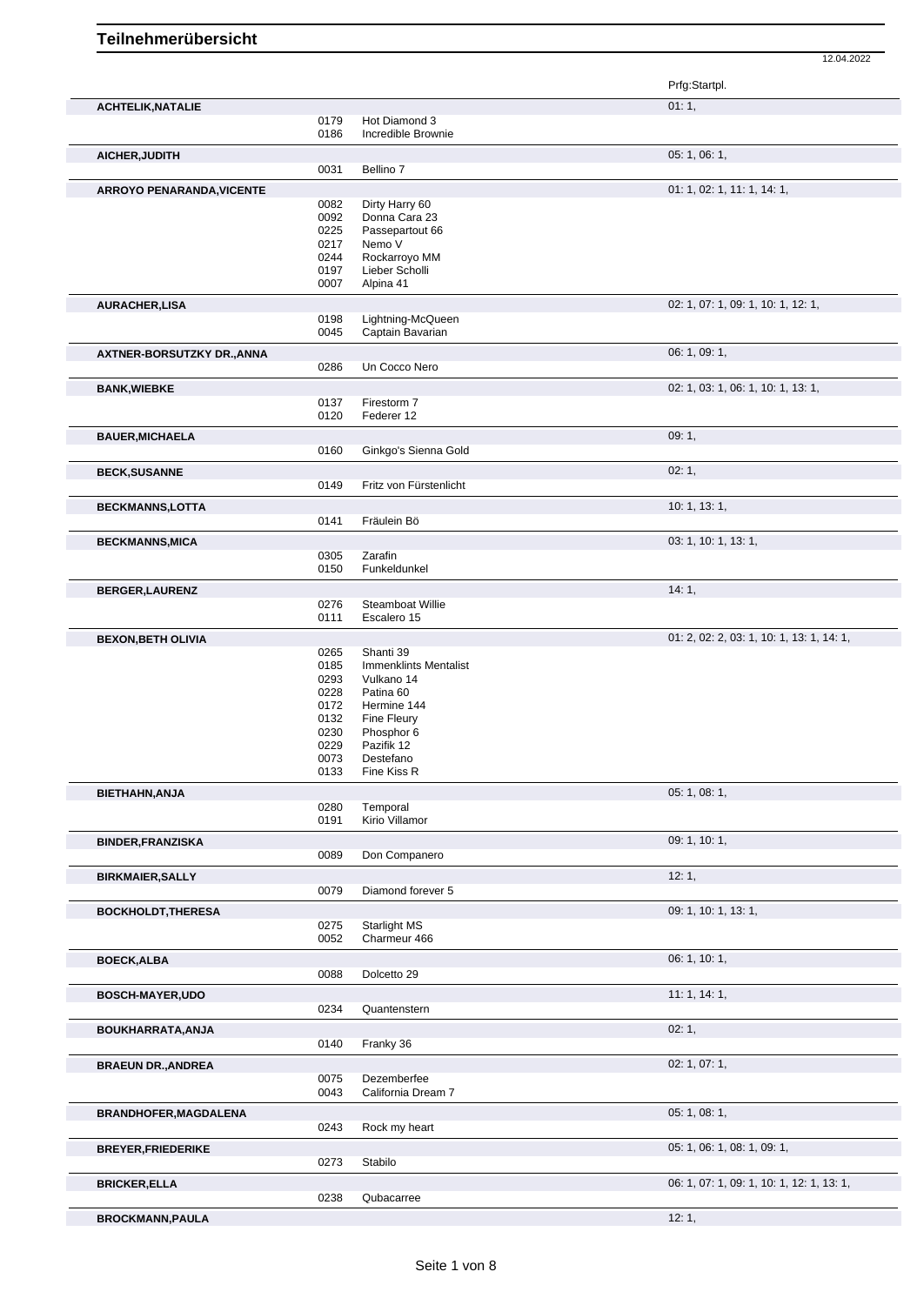|                              |              |                                     | Prfg:Startpl.                             |
|------------------------------|--------------|-------------------------------------|-------------------------------------------|
| <b>ACHTELIK, NATALIE</b>     |              |                                     | 01:1,                                     |
|                              | 0179<br>0186 | Hot Diamond 3<br>Incredible Brownie |                                           |
|                              |              |                                     | 05: 1, 06: 1,                             |
| AICHER, JUDITH               | 0031         | Bellino 7                           |                                           |
|                              |              |                                     | 01: 1, 02: 1, 11: 1, 14: 1,               |
| ARROYO PENARANDA, VICENTE    | 0082         | Dirty Harry 60                      |                                           |
|                              | 0092         | Donna Cara 23                       |                                           |
|                              | 0225         | Passepartout 66                     |                                           |
|                              | 0217         | Nemo V                              |                                           |
|                              | 0244         | Rockarroyo MM                       |                                           |
|                              | 0197         | Lieber Scholli                      |                                           |
|                              | 0007         | Alpina 41                           |                                           |
| <b>AURACHER,LISA</b>         |              |                                     | 02: 1, 07: 1, 09: 1, 10: 1, 12: 1,        |
|                              | 0198         | Lightning-McQueen                   |                                           |
|                              | 0045         | Captain Bavarian                    |                                           |
| AXTNER-BORSUTZKY DR., ANNA   |              |                                     | 06: 1, 09: 1,                             |
|                              | 0286         | Un Cocco Nero                       |                                           |
| <b>BANK, WIEBKE</b>          |              |                                     | 02: 1, 03: 1, 06: 1, 10: 1, 13: 1,        |
|                              | 0137         | Firestorm 7                         |                                           |
|                              | 0120         | Federer 12                          |                                           |
| <b>BAUER, MICHAELA</b>       |              |                                     | 09:1,                                     |
|                              | 0160         | Ginkgo's Sienna Gold                |                                           |
| <b>BECK, SUSANNE</b>         |              |                                     | 02:1,                                     |
|                              | 0149         | Fritz von Fürstenlicht              |                                           |
|                              |              |                                     | 10:1, 13:1,                               |
| <b>BECKMANNS,LOTTA</b>       | 0141         | Fräulein Bö                         |                                           |
|                              |              |                                     |                                           |
| <b>BECKMANNS, MICA</b>       |              |                                     | 03: 1, 10: 1, 13: 1,                      |
|                              | 0305<br>0150 | Zarafin<br>Funkeldunkel             |                                           |
|                              |              |                                     |                                           |
| <b>BERGER,LAURENZ</b>        | 0276         | Steamboat Willie                    | 14:1,                                     |
|                              | 0111         | Escalero 15                         |                                           |
|                              |              |                                     | 01: 2, 02: 2, 03: 1, 10: 1, 13: 1, 14: 1, |
| <b>BEXON, BETH OLIVIA</b>    | 0265         | Shanti 39                           |                                           |
|                              | 0185         | <b>Immenklints Mentalist</b>        |                                           |
|                              | 0293         | Vulkano 14                          |                                           |
|                              | 0228         | Patina 60                           |                                           |
|                              | 0172         | Hermine 144                         |                                           |
|                              | 0132         | Fine Fleury                         |                                           |
|                              | 0230         | Phosphor 6                          |                                           |
|                              | 0229         | Pazifik 12                          |                                           |
|                              | 0073         | Destefano                           |                                           |
|                              | 0133         | Fine Kiss R                         |                                           |
| BIETHAHN, ANJA               |              |                                     | 05: 1, 08: 1,                             |
|                              | 0280         | Temporal                            |                                           |
|                              | 0191         | Kirio Villamor                      |                                           |
| <b>BINDER, FRANZISKA</b>     |              |                                     | 09: 1, 10: 1,                             |
|                              | 0089         | Don Companero                       |                                           |
| <b>BIRKMAIER, SALLY</b>      |              |                                     | 12:1,                                     |
|                              | 0079         | Diamond forever 5                   |                                           |
| <b>BOCKHOLDT, THERESA</b>    |              |                                     | 09: 1, 10: 1, 13: 1,                      |
|                              | 0275         | Starlight MS                        |                                           |
|                              | 0052         | Charmeur 466                        |                                           |
| <b>BOECK, ALBA</b>           |              |                                     | 06: 1, 10: 1,                             |
|                              | 0088         | Dolcetto 29                         |                                           |
| <b>BOSCH-MAYER,UDO</b>       |              |                                     | 11:1, 14:1,                               |
|                              | 0234         | Quantenstern                        |                                           |
| BOUKHARRATA, ANJA            |              |                                     | 02:1,                                     |
|                              | 0140         | Franky 36                           |                                           |
|                              |              |                                     | 02: 1, 07: 1,                             |
| <b>BRAEUN DR., ANDREA</b>    | 0075         | Dezemberfee                         |                                           |
|                              | 0043         | California Dream 7                  |                                           |
|                              |              |                                     | 05: 1, 08: 1,                             |
| <b>BRANDHOFER, MAGDALENA</b> | 0243         | Rock my heart                       |                                           |
|                              |              |                                     |                                           |
| <b>BREYER, FRIEDERIKE</b>    |              |                                     | 05: 1, 06: 1, 08: 1, 09: 1,               |
|                              | 0273         | Stabilo                             |                                           |
| <b>BRICKER, ELLA</b>         |              |                                     | 06: 1, 07: 1, 09: 1, 10: 1, 12: 1, 13: 1, |
|                              | 0238         | Qubacarree                          |                                           |
|                              |              |                                     |                                           |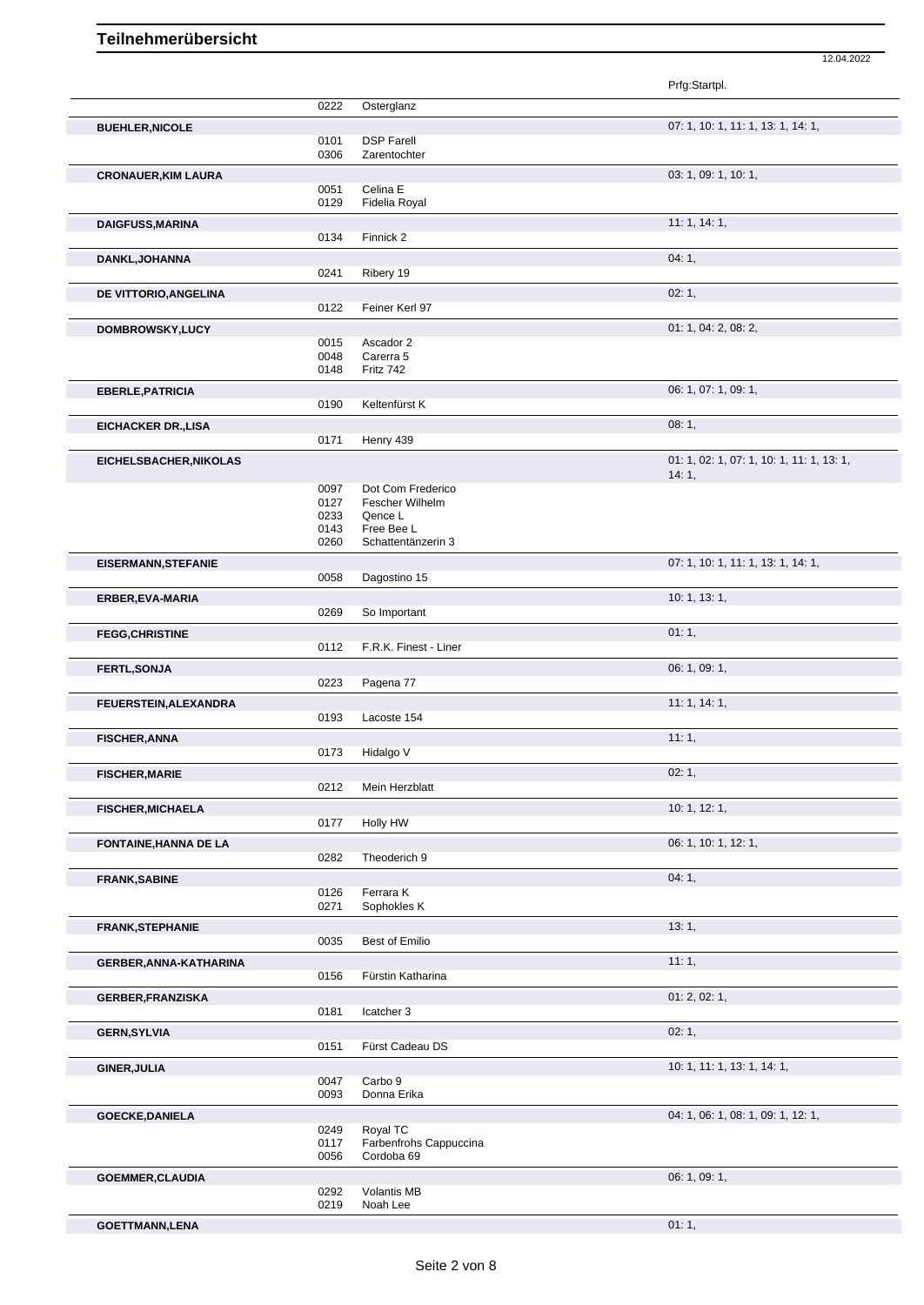|                            |              |                                  | Prfg:Startpl.                             |
|----------------------------|--------------|----------------------------------|-------------------------------------------|
|                            | 0222         | Osterglanz                       |                                           |
| <b>BUEHLER, NICOLE</b>     |              |                                  | 07: 1, 10: 1, 11: 1, 13: 1, 14: 1,        |
|                            | 0101         | <b>DSP Farell</b>                |                                           |
|                            | 0306         | Zarentochter                     |                                           |
| <b>CRONAUER, KIM LAURA</b> |              |                                  | 03: 1, 09: 1, 10: 1,                      |
|                            | 0051         | Celina E                         |                                           |
|                            | 0129         | Fidelia Royal                    |                                           |
| <b>DAIGFUSS, MARINA</b>    |              |                                  | 11:1, 14:1,                               |
|                            | 0134         | Finnick 2                        |                                           |
| DANKL, JOHANNA             |              |                                  | 04:1,                                     |
|                            | 0241         | Ribery 19                        |                                           |
| DE VITTORIO, ANGELINA      |              |                                  | 02:1,                                     |
|                            | 0122         | Feiner Kerl 97                   |                                           |
| DOMBROWSKY, LUCY           |              |                                  | 01: 1, 04: 2, 08: 2,                      |
|                            | 0015         | Ascador 2                        |                                           |
|                            | 0048         | Carerra 5                        |                                           |
|                            | 0148         | Fritz 742                        |                                           |
| <b>EBERLE, PATRICIA</b>    |              |                                  | 06: 1, 07: 1, 09: 1,                      |
|                            | 0190         | Keltenfürst K                    |                                           |
| <b>EICHACKER DR., LISA</b> |              |                                  | 08:1,                                     |
|                            | 0171         | Henry 439                        |                                           |
| EICHELSBACHER, NIKOLAS     |              |                                  | 01: 1, 02: 1, 07: 1, 10: 1, 11: 1, 13: 1, |
|                            |              |                                  | 14:1,                                     |
|                            | 0097         | Dot Com Frederico                |                                           |
|                            | 0127         | Fescher Wilhelm                  |                                           |
|                            | 0233         | Qence L                          |                                           |
|                            | 0143<br>0260 | Free Bee L<br>Schattentänzerin 3 |                                           |
|                            |              |                                  |                                           |
| <b>EISERMANN, STEFANIE</b> | 0058         | Dagostino 15                     | 07: 1, 10: 1, 11: 1, 13: 1, 14: 1,        |
|                            |              |                                  |                                           |
| ERBER, EVA-MARIA           |              |                                  | 10: 1, 13: 1,                             |
|                            | 0269         | So Important                     |                                           |
| <b>FEGG, CHRISTINE</b>     |              |                                  | 01:1,                                     |
|                            | 0112         | F.R.K. Finest - Liner            |                                           |
| FERTL, SONJA               |              |                                  | 06: 1, 09: 1,                             |
|                            | 0223         | Pagena 77                        |                                           |
| FEUERSTEIN, ALEXANDRA      |              |                                  | 11:1, 14:1,                               |
|                            | 0193         | Lacoste 154                      |                                           |
| <b>FISCHER, ANNA</b>       |              |                                  | 11:1,                                     |
|                            | 0173         | Hidalgo V                        |                                           |
| <b>FISCHER, MARIE</b>      |              |                                  | 02:1,                                     |
|                            | 0212         | Mein Herzblatt                   |                                           |
| <b>FISCHER, MICHAELA</b>   |              |                                  | 10: 1, 12: 1,                             |
|                            | 0177         | Holly HW                         |                                           |
| FONTAINE, HANNA DE LA      |              |                                  | 06: 1, 10: 1, 12: 1,                      |
|                            | 0282         | Theoderich 9                     |                                           |
| <b>FRANK, SABINE</b>       |              |                                  | 04:1,                                     |
|                            | 0126         | Ferrara K                        |                                           |
|                            | 0271         | Sophokles K                      |                                           |
| <b>FRANK, STEPHANIE</b>    |              |                                  | 13:1,                                     |
|                            | 0035         | Best of Emilio                   |                                           |
| GERBER, ANNA-KATHARINA     |              |                                  | 11:1,                                     |
|                            | 0156         | Fürstin Katharina                |                                           |
| <b>GERBER, FRANZISKA</b>   |              |                                  | 01: 2, 02: 1,                             |
|                            | 0181         | Icatcher 3                       |                                           |
| <b>GERN, SYLVIA</b>        |              |                                  | 02:1,                                     |
|                            | 0151         | Fürst Cadeau DS                  |                                           |
| <b>GINER, JULIA</b>        |              |                                  | 10: 1, 11: 1, 13: 1, 14: 1,               |
|                            | 0047         | Carbo 9                          |                                           |
|                            | 0093         | Donna Erika                      |                                           |
| <b>GOECKE, DANIELA</b>     |              |                                  | 04: 1, 06: 1, 08: 1, 09: 1, 12: 1,        |
|                            | 0249         | Royal TC                         |                                           |
|                            | 0117         | Farbenfrohs Cappuccina           |                                           |
|                            | 0056         | Cordoba 69                       |                                           |
| <b>GOEMMER, CLAUDIA</b>    |              |                                  | 06: 1, 09: 1,                             |
|                            | 0292         | Volantis MB                      |                                           |
|                            | 0219         | Noah Lee                         |                                           |

12.04.2022

**GOETTMANN,LENA** 01: 1,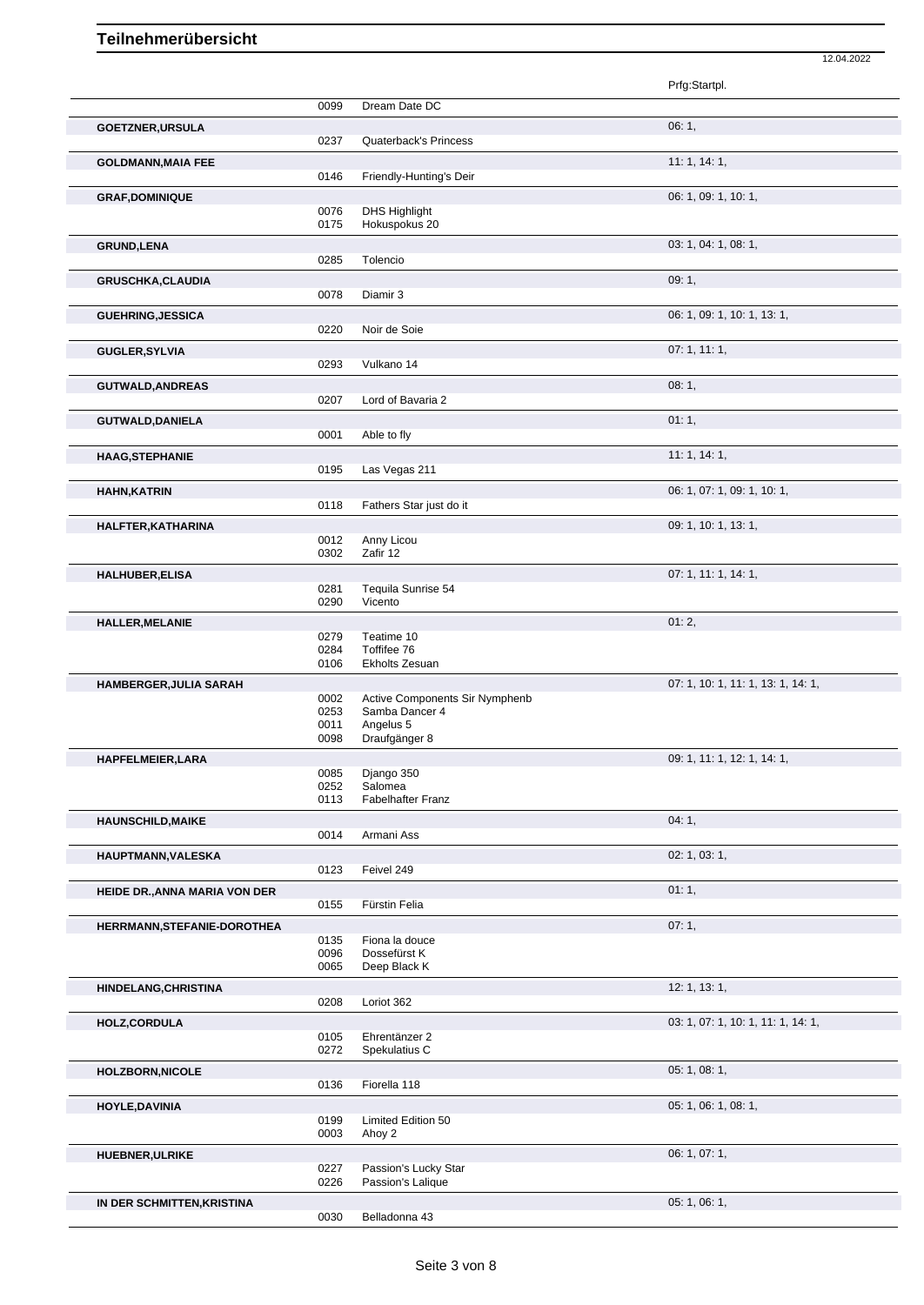|                               |              |                                       | Prfg:Startpl.                      |
|-------------------------------|--------------|---------------------------------------|------------------------------------|
|                               | 0099         | Dream Date DC                         |                                    |
| <b>GOETZNER, URSULA</b>       |              |                                       | 06:1,                              |
|                               | 0237         | <b>Quaterback's Princess</b>          |                                    |
| <b>GOLDMANN, MAIA FEE</b>     | 0146         | Friendly-Hunting's Deir               | 11: 1, 14: 1,                      |
| <b>GRAF, DOMINIQUE</b>        |              |                                       | 06: 1, 09: 1, 10: 1,               |
|                               | 0076<br>0175 | <b>DHS Highlight</b><br>Hokuspokus 20 |                                    |
| <b>GRUND,LENA</b>             |              |                                       | 03: 1, 04: 1, 08: 1,               |
|                               | 0285         | Tolencio                              |                                    |
| <b>GRUSCHKA, CLAUDIA</b>      |              |                                       | 09:1,                              |
|                               | 0078         | Diamir 3                              |                                    |
| <b>GUEHRING, JESSICA</b>      |              |                                       | 06: 1, 09: 1, 10: 1, 13: 1,        |
|                               | 0220         | Noir de Soie                          |                                    |
| <b>GUGLER, SYLVIA</b>         | 0293         | Vulkano 14                            | 07:1, 11:1,                        |
| <b>GUTWALD, ANDREAS</b>       |              |                                       | 08:1,                              |
|                               | 0207         | Lord of Bavaria 2                     |                                    |
| <b>GUTWALD, DANIELA</b>       | 0001         | Able to fly                           | 01:1,                              |
| <b>HAAG, STEPHANIE</b>        |              |                                       | 11:1, 14:1,                        |
|                               | 0195         | Las Vegas 211                         |                                    |
| <b>HAHN, KATRIN</b>           |              |                                       | 06: 1, 07: 1, 09: 1, 10: 1,        |
|                               | 0118         | Fathers Star just do it               |                                    |
| HALFTER, KATHARINA            |              |                                       | 09: 1, 10: 1, 13: 1,               |
|                               | 0012         | Anny Licou                            |                                    |
|                               | 0302         | Zafir 12                              |                                    |
| <b>HALHUBER, ELISA</b>        | 0281         | Tequila Sunrise 54                    | 07: 1, 11: 1, 14: 1,               |
|                               | 0290         | Vicento                               |                                    |
| <b>HALLER, MELANIE</b>        |              |                                       | 01:2,                              |
|                               | 0279         | Teatime 10                            |                                    |
|                               | 0284<br>0106 | Toffifee 76<br>Ekholts Zesuan         |                                    |
|                               |              |                                       | 07: 1, 10: 1, 11: 1, 13: 1, 14: 1, |
| HAMBERGER, JULIA SARAH        | 0002         | Active Components Sir Nymphenb        |                                    |
|                               | 0253         | Samba Dancer 4                        |                                    |
|                               | 0011<br>0098 | Angelus 5<br>Draufgänger 8            |                                    |
|                               |              |                                       | 09: 1, 11: 1, 12: 1, 14: 1,        |
| <b>HAPFELMEIER, LARA</b>      | 0085         | Django 350                            |                                    |
|                               | 0252         | Salomea                               |                                    |
|                               | 0113         | Fabelhafter Franz                     |                                    |
| <b>HAUNSCHILD, MAIKE</b>      |              |                                       | 04:1,                              |
|                               | 0014         | Armani Ass                            |                                    |
| HAUPTMANN, VALESKA            | 0123         | Feivel 249                            | 02: 1, 03: 1,                      |
| HEIDE DR., ANNA MARIA VON DER |              |                                       | 01:1,                              |
|                               | 0155         | Fürstin Felia                         |                                    |
| HERRMANN, STEFANIE-DOROTHEA   |              |                                       | 07:1,                              |
|                               | 0135         | Fiona la douce                        |                                    |
|                               | 0096<br>0065 | Dossefürst K<br>Deep Black K          |                                    |
| HINDELANG, CHRISTINA          |              |                                       | 12: 1, 13: 1,                      |
|                               | 0208         | Loriot 362                            |                                    |
| HOLZ, CORDULA                 |              |                                       | 03: 1, 07: 1, 10: 1, 11: 1, 14: 1, |
|                               | 0105         | Ehrentänzer 2                         |                                    |
|                               | 0272         | Spekulatius C                         |                                    |
| <b>HOLZBORN, NICOLE</b>       |              |                                       | 05: 1, 08: 1,                      |
|                               | 0136         | Fiorella 118                          |                                    |
| <b>HOYLE, DAVINIA</b>         |              |                                       | 05: 1, 06: 1, 08: 1,               |
|                               | 0199<br>0003 | Limited Edition 50<br>Ahoy 2          |                                    |
| <b>HUEBNER, ULRIKE</b>        |              |                                       | 06: 1, 07: 1,                      |
|                               | 0227         | Passion's Lucky Star                  |                                    |
|                               | 0226         | Passion's Lalique                     |                                    |
| IN DER SCHMITTEN, KRISTINA    |              |                                       | 05: 1, 06: 1,                      |
|                               | 0030         | Belladonna 43                         |                                    |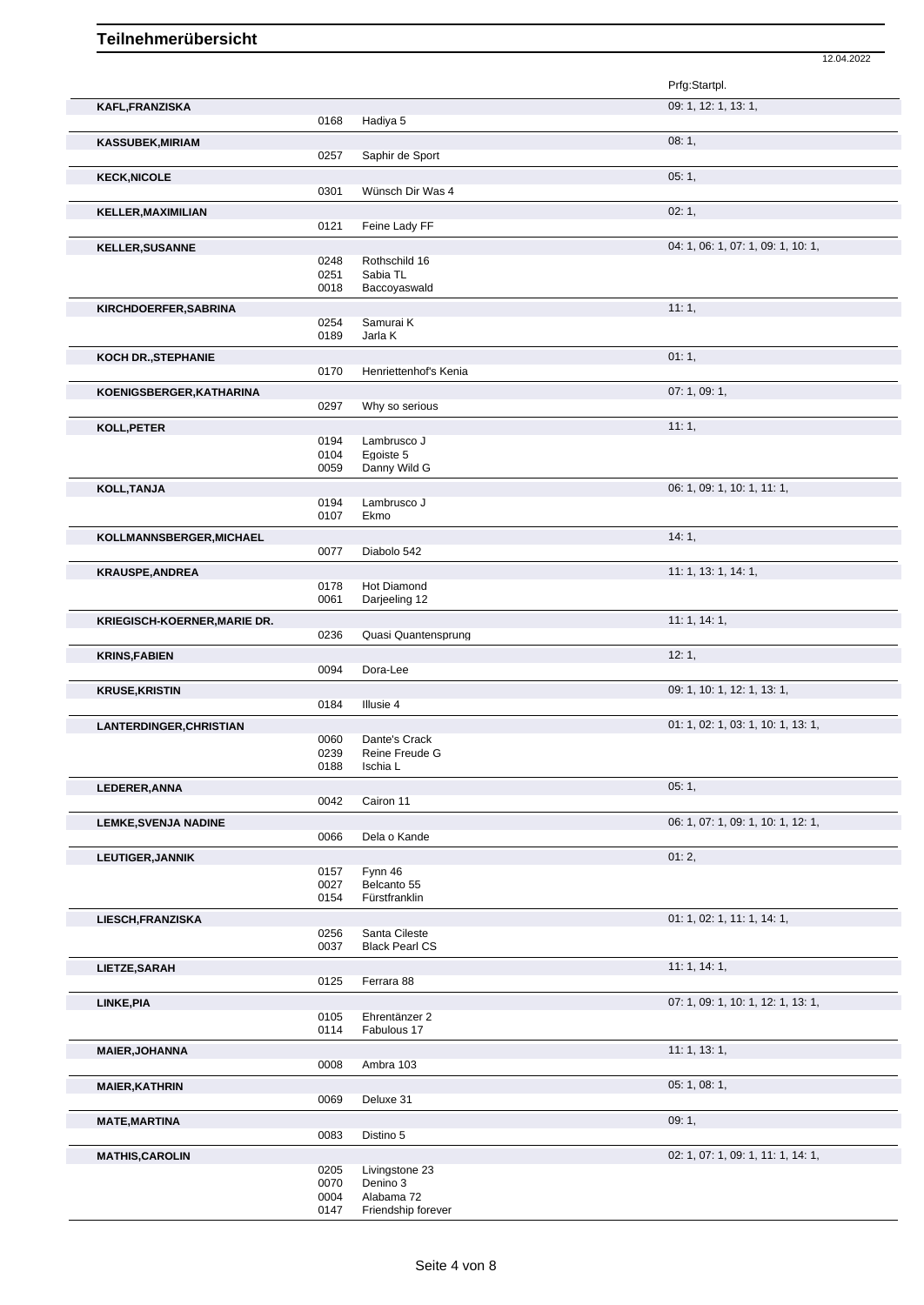|                                     |              |                              | Prfg:Startpl.                      |
|-------------------------------------|--------------|------------------------------|------------------------------------|
| KAFL, FRANZISKA                     |              |                              | 09: 1, 12: 1, 13: 1,               |
|                                     | 0168         | Hadiya 5                     |                                    |
| <b>KASSUBEK,MIRIAM</b>              |              |                              | 08:1,                              |
|                                     | 0257         | Saphir de Sport              |                                    |
| <b>KECK, NICOLE</b>                 |              |                              | 05:1,                              |
|                                     | 0301         | Wünsch Dir Was 4             |                                    |
| KELLER, MAXIMILIAN                  |              |                              | 02:1,                              |
|                                     | 0121         | Feine Lady FF                |                                    |
| <b>KELLER, SUSANNE</b>              |              |                              | 04: 1, 06: 1, 07: 1, 09: 1, 10: 1, |
|                                     | 0248<br>0251 | Rothschild 16<br>Sabia TL    |                                    |
|                                     | 0018         | Baccoyaswald                 |                                    |
| KIRCHDOERFER, SABRINA               |              |                              | 11:1,                              |
|                                     | 0254         | Samurai K                    |                                    |
|                                     | 0189         | Jarla K                      |                                    |
| KOCH DR., STEPHANIE                 |              |                              | 01:1,                              |
|                                     | 0170         | Henriettenhof's Kenia        |                                    |
| KOENIGSBERGER, KATHARINA            |              |                              | 07: 1, 09: 1,                      |
|                                     | 0297         | Why so serious               |                                    |
| KOLL, PETER                         |              |                              | 11:1,                              |
|                                     | 0194         | Lambrusco J                  |                                    |
|                                     | 0104<br>0059 | Egoiste 5<br>Danny Wild G    |                                    |
|                                     |              |                              | 06: 1, 09: 1, 10: 1, 11: 1,        |
| KOLL, TANJA                         | 0194         | Lambrusco J                  |                                    |
|                                     | 0107         | Ekmo                         |                                    |
| KOLLMANNSBERGER, MICHAEL            |              |                              | 14:1,                              |
|                                     | 0077         | Diabolo 542                  |                                    |
| <b>KRAUSPE, ANDREA</b>              |              |                              | 11: 1, 13: 1, 14: 1,               |
|                                     | 0178         | Hot Diamond                  |                                    |
|                                     | 0061         | Darjeeling 12                |                                    |
| <b>KRIEGISCH-KOERNER, MARIE DR.</b> |              |                              | 11:1, 14:1,                        |
|                                     | 0236         | Quasi Quantensprung          |                                    |
| <b>KRINS, FABIEN</b>                |              |                              | 12:1,                              |
|                                     | 0094         | Dora-Lee                     |                                    |
| <b>KRUSE,KRISTIN</b>                | 0184         | Illusie 4                    | 09: 1, 10: 1, 12: 1, 13: 1,        |
|                                     |              |                              |                                    |
| LANTERDINGER, CHRISTIAN             | 0060         | Dante's Crack                | 01: 1, 02: 1, 03: 1, 10: 1, 13: 1, |
|                                     | 0239         | Reine Freude G               |                                    |
|                                     | 0188         | Ischia L                     |                                    |
| LEDERER, ANNA                       |              |                              | 05:1,                              |
|                                     | 0042         | Cairon 11                    |                                    |
| <b>LEMKE, SVENJA NADINE</b>         |              |                              | 06: 1, 07: 1, 09: 1, 10: 1, 12: 1, |
|                                     | 0066         | Dela o Kande                 |                                    |
| <b>LEUTIGER, JANNIK</b>             |              |                              | 01:2,                              |
|                                     | 0157         | Fynn 46                      |                                    |
|                                     | 0027<br>0154 | Belcanto 55<br>Fürstfranklin |                                    |
| LIESCH, FRANZISKA                   |              |                              | 01: 1, 02: 1, 11: 1, 14: 1,        |
|                                     | 0256         | Santa Cileste                |                                    |
|                                     | 0037         | <b>Black Pearl CS</b>        |                                    |
| LIETZE, SARAH                       |              |                              | 11:1, 14:1,                        |
|                                     | 0125         | Ferrara 88                   |                                    |
| LINKE, PIA                          |              |                              | 07: 1, 09: 1, 10: 1, 12: 1, 13: 1, |
|                                     | 0105         | Ehrentänzer 2                |                                    |
|                                     | 0114         | Fabulous 17                  |                                    |
| <b>MAIER, JOHANNA</b>               |              |                              | 11: 1, 13: 1,                      |
|                                     | 0008         | Ambra 103                    |                                    |
| <b>MAIER, KATHRIN</b>               | 0069         | Deluxe 31                    | 05: 1, 08: 1,                      |
|                                     |              |                              |                                    |
| <b>MATE, MARTINA</b>                |              |                              | 09:1,                              |
|                                     | 0083         | Distino 5                    |                                    |
| <b>MATHIS, CAROLIN</b>              | 0205         | Livingstone 23               | 02: 1, 07: 1, 09: 1, 11: 1, 14: 1, |
|                                     | 0070         | Denino 3                     |                                    |
|                                     | 0004         | Alabama 72                   |                                    |
|                                     | 0147         | Friendship forever           |                                    |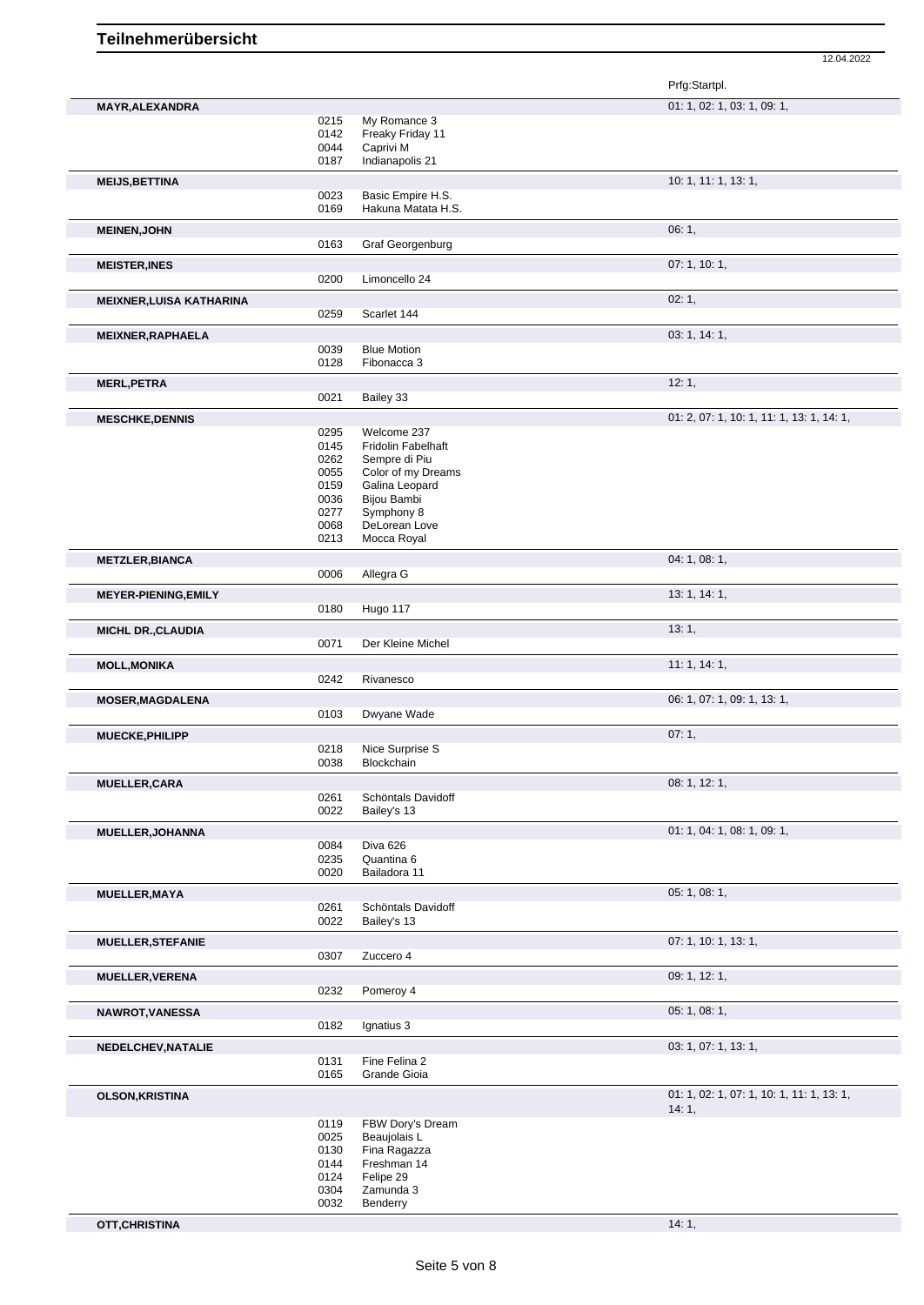|                                 |              |                                     | Prfg:Startpl.                             |
|---------------------------------|--------------|-------------------------------------|-------------------------------------------|
| <b>MAYR, ALEXANDRA</b>          |              |                                     | 01: 1, 02: 1, 03: 1, 09: 1,               |
|                                 | 0215         | My Romance 3                        |                                           |
|                                 | 0142         | Freaky Friday 11                    |                                           |
|                                 | 0044<br>0187 | Caprivi M<br>Indianapolis 21        |                                           |
|                                 |              |                                     | 10: 1, 11: 1, 13: 1,                      |
| <b>MEIJS, BETTINA</b>           | 0023         | Basic Empire H.S.                   |                                           |
|                                 | 0169         | Hakuna Matata H.S.                  |                                           |
| <b>MEINEN, JOHN</b>             |              |                                     | 06:1,                                     |
|                                 | 0163         | Graf Georgenburg                    |                                           |
| <b>MEISTER, INES</b>            |              |                                     | 07:1, 10:1,                               |
|                                 | 0200         | Limoncello 24                       |                                           |
| <b>MEIXNER, LUISA KATHARINA</b> |              |                                     | 02:1,                                     |
|                                 | 0259         | Scarlet 144                         |                                           |
| MEIXNER, RAPHAELA               |              |                                     | 03: 1, 14: 1,                             |
|                                 | 0039         | <b>Blue Motion</b>                  |                                           |
|                                 | 0128         | Fibonacca 3                         |                                           |
| <b>MERL, PETRA</b>              |              |                                     | 12:1,                                     |
|                                 | 0021         | Bailey 33                           |                                           |
| <b>MESCHKE, DENNIS</b>          |              |                                     | 01: 2, 07: 1, 10: 1, 11: 1, 13: 1, 14: 1, |
|                                 | 0295         | Welcome 237                         |                                           |
|                                 | 0145         | <b>Fridolin Fabelhaft</b>           |                                           |
|                                 | 0262<br>0055 | Sempre di Piu<br>Color of my Dreams |                                           |
|                                 | 0159         | Galina Leopard                      |                                           |
|                                 | 0036         | <b>Bijou Bambi</b>                  |                                           |
|                                 | 0277         | Symphony 8                          |                                           |
|                                 | 0068         | DeLorean Love                       |                                           |
|                                 | 0213         | Mocca Royal                         |                                           |
| <b>METZLER, BIANCA</b>          |              |                                     | 04: 1, 08: 1,                             |
|                                 | 0006         | Allegra G                           |                                           |
| <b>MEYER-PIENING, EMILY</b>     |              |                                     | 13: 1, 14: 1,                             |
|                                 | 0180         | Hugo 117                            |                                           |
| <b>MICHL DR., CLAUDIA</b>       |              |                                     | 13:1,                                     |
|                                 | 0071         | Der Kleine Michel                   |                                           |
| <b>MOLL, MONIKA</b>             |              |                                     | 11:1, 14:1,                               |
|                                 | 0242         | Rivanesco                           |                                           |
| <b>MOSER, MAGDALENA</b>         |              |                                     | 06: 1, 07: 1, 09: 1, 13: 1,               |
|                                 | 0103         | Dwyane Wade                         |                                           |
| MUECKE, PHILIPP                 |              |                                     | 07:1,                                     |
|                                 | 0218         | Nice Surprise S                     |                                           |
|                                 | 0038         | Blockchain                          |                                           |
| <b>MUELLER, CARA</b>            |              |                                     | 08: 1, 12: 1,                             |
|                                 | 0261<br>0022 | Schöntals Davidoff<br>Bailey's 13   |                                           |
|                                 |              |                                     |                                           |
| MUELLER, JOHANNA                | 0084         | Diva 626                            | 01: 1, 04: 1, 08: 1, 09: 1,               |
|                                 | 0235         | Quantina 6                          |                                           |
|                                 | 0020         | Bailadora 11                        |                                           |
| <b>MUELLER, MAYA</b>            |              |                                     | 05: 1, 08: 1,                             |
|                                 | 0261         | Schöntals Davidoff                  |                                           |
|                                 | 0022         | Bailey's 13                         |                                           |
| <b>MUELLER, STEFANIE</b>        |              |                                     | 07: 1, 10: 1, 13: 1,                      |
|                                 | 0307         | Zuccero 4                           |                                           |
| <b>MUELLER, VERENA</b>          |              |                                     | 09: 1, 12: 1,                             |
|                                 | 0232         | Pomeroy 4                           |                                           |
| NAWROT, VANESSA                 |              |                                     | 05: 1, 08: 1,                             |
|                                 | 0182         | Ignatius 3                          |                                           |
| NEDELCHEV, NATALIE              |              |                                     | 03: 1, 07: 1, 13: 1,                      |
|                                 | 0131         | Fine Felina 2                       |                                           |
|                                 | 0165         | Grande Gioia                        |                                           |
| <b>OLSON, KRISTINA</b>          |              |                                     | 01: 1, 02: 1, 07: 1, 10: 1, 11: 1, 13: 1, |
|                                 |              |                                     | 14:1,                                     |
|                                 | 0119         | FBW Dory's Dream                    |                                           |
|                                 | 0025         | Beaujolais L                        |                                           |
|                                 | 0130<br>0144 | Fina Ragazza<br>Freshman 14         |                                           |
|                                 | 0124         | Felipe 29                           |                                           |
|                                 | 0304         | Zamunda 3                           |                                           |
|                                 | 0032         | Benderry                            |                                           |
| OTT, CHRISTINA                  |              |                                     | 14:1,                                     |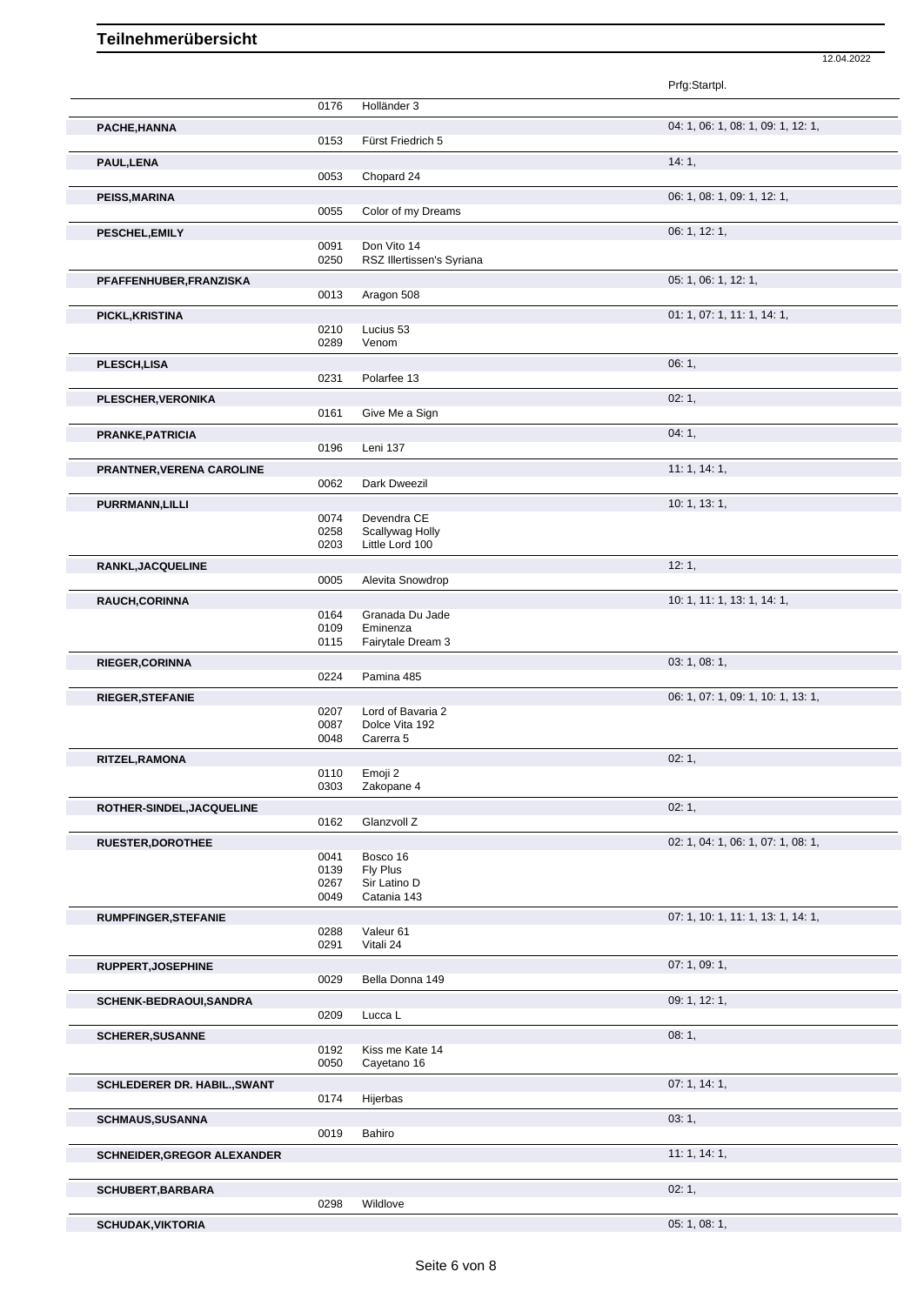|                              |              |                                          | Prfg:Startpl.                      |
|------------------------------|--------------|------------------------------------------|------------------------------------|
|                              | 0176         | Holländer 3                              |                                    |
| PACHE, HANNA                 |              |                                          | 04: 1, 06: 1, 08: 1, 09: 1, 12: 1, |
|                              | 0153         | Fürst Friedrich 5                        |                                    |
| PAUL, LENA                   | 0053         | Chopard 24                               | 14:1,                              |
| <b>PEISS, MARINA</b>         |              |                                          | 06: 1, 08: 1, 09: 1, 12: 1,        |
|                              | 0055         | Color of my Dreams                       |                                    |
| PESCHEL, EMILY               |              |                                          | 06: 1, 12: 1,                      |
|                              | 0091<br>0250 | Don Vito 14<br>RSZ Illertissen's Syriana |                                    |
| PFAFFENHUBER, FRANZISKA      |              |                                          | 05: 1, 06: 1, 12: 1,               |
|                              | 0013         | Aragon 508                               |                                    |
| PICKL, KRISTINA              |              |                                          | 01: 1, 07: 1, 11: 1, 14: 1,        |
|                              | 0210<br>0289 | Lucius 53<br>Venom                       |                                    |
| PLESCH, LISA                 |              |                                          | 06:1,                              |
|                              | 0231         | Polarfee 13                              |                                    |
| <b>PLESCHER, VERONIKA</b>    |              |                                          | 02:1,                              |
|                              | 0161         | Give Me a Sign                           |                                    |
| PRANKE, PATRICIA             |              |                                          | 04:1,                              |
|                              | 0196         | Leni 137                                 |                                    |
| PRANTNER, VERENA CAROLINE    | 0062         | Dark Dweezil                             | 11:1, 14:1,                        |
| PURRMANN, LILLI              |              |                                          | 10: 1, 13: 1,                      |
|                              | 0074         | Devendra CE                              |                                    |
|                              | 0258<br>0203 | Scallywag Holly<br>Little Lord 100       |                                    |
| RANKL, JACQUELINE            |              |                                          | 12:1,                              |
|                              | 0005         | Alevita Snowdrop                         |                                    |
| RAUCH, CORINNA               |              |                                          | 10: 1, 11: 1, 13: 1, 14: 1,        |
|                              | 0164<br>0109 | Granada Du Jade<br>Eminenza              |                                    |
|                              | 0115         | Fairytale Dream 3                        |                                    |
| RIEGER, CORINNA              |              |                                          | 03: 1, 08: 1,                      |
|                              | 0224         | Pamina 485                               |                                    |
| RIEGER, STEFANIE             |              |                                          | 06: 1, 07: 1, 09: 1, 10: 1, 13: 1, |
|                              | 0207<br>0087 | Lord of Bavaria 2<br>Dolce Vita 192      |                                    |
|                              | 0048         | Carerra 5                                |                                    |
| RITZEL, RAMONA               |              |                                          | 02:1,                              |
|                              | 0110<br>0303 | Emoji 2<br>Zakopane 4                    |                                    |
| ROTHER-SINDEL, JACQUELINE    |              |                                          | 02:1,                              |
|                              | 0162         | Glanzvoll Z                              |                                    |
| <b>RUESTER, DOROTHEE</b>     |              |                                          | 02: 1, 04: 1, 06: 1, 07: 1, 08: 1, |
|                              | 0041<br>0139 | Bosco 16<br>Fly Plus                     |                                    |
|                              | 0267         | Sir Latino D                             |                                    |
|                              | 0049         | Catania 143                              |                                    |
| <b>RUMPFINGER, STEFANIE</b>  | 0288         | Valeur 61                                | 07: 1, 10: 1, 11: 1, 13: 1, 14: 1, |
|                              | 0291         | Vitali 24                                |                                    |
| RUPPERT, JOSEPHINE           |              |                                          | 07: 1, 09: 1,                      |
|                              | 0029         | Bella Donna 149                          |                                    |
| SCHENK-BEDRAOUI, SANDRA      | 0209         | Lucca L                                  | 09: 1, 12: 1,                      |
| <b>SCHERER, SUSANNE</b>      |              |                                          | 08:1,                              |
|                              | 0192         | Kiss me Kate 14                          |                                    |
|                              | 0050         | Cayetano 16                              |                                    |
| SCHLEDERER DR. HABIL., SWANT | 0174         | Hijerbas                                 | 07:1, 14:1,                        |
| <b>SCHMAUS, SUSANNA</b>      |              |                                          | 03:1,                              |
|                              | 0019         | Bahiro                                   |                                    |
| SCHNEIDER, GREGOR ALEXANDER  |              |                                          | 11:1, 14:1,                        |
|                              |              |                                          |                                    |
| <b>SCHUBERT, BARBARA</b>     |              |                                          | 02:1,                              |
|                              | 0298         | Wildlove                                 |                                    |

```
SCHUDAK, VIKTORIA 05: 1, 08: 1,
```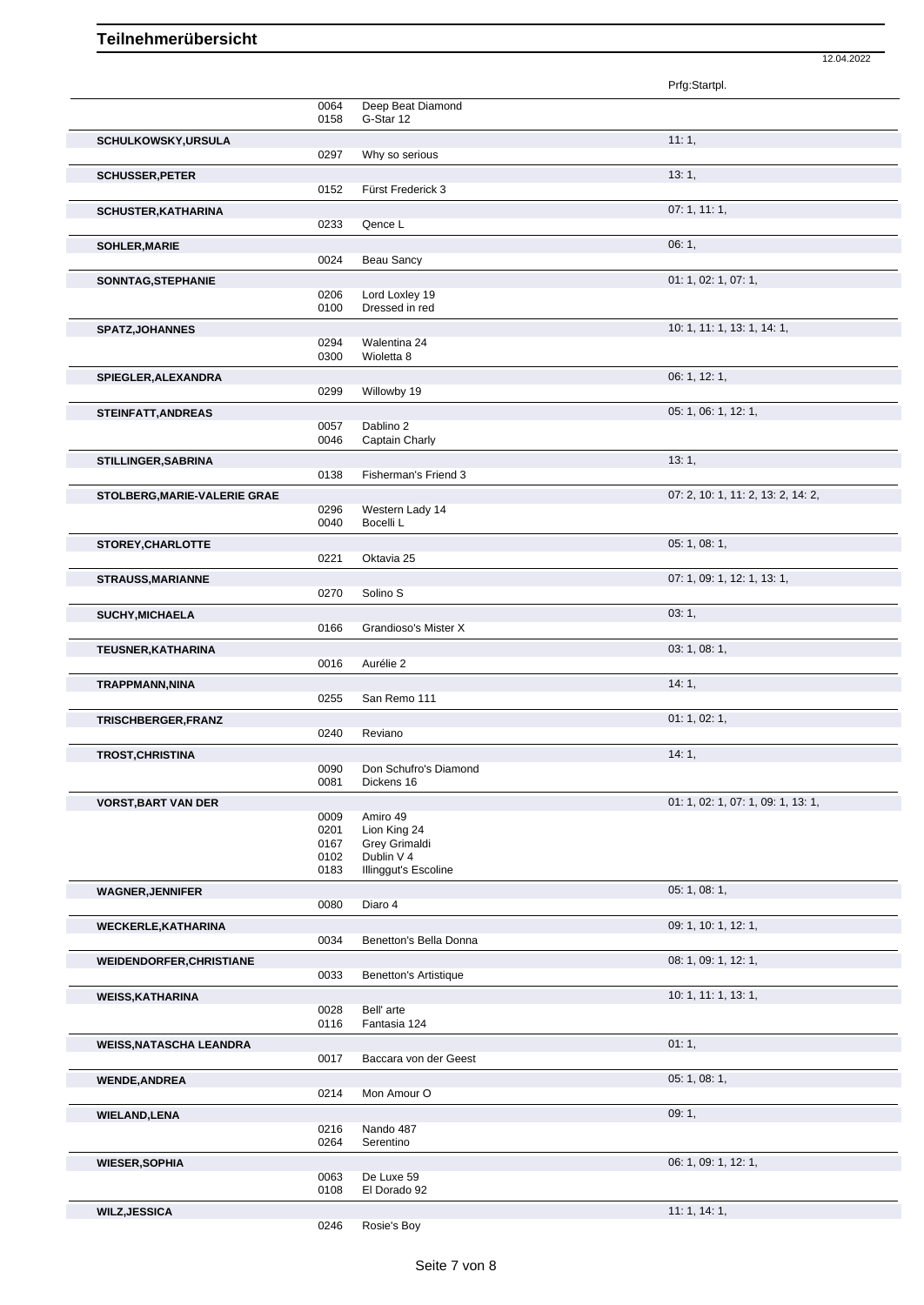|                                |              |                                     | Prfg:Startpl.                      |
|--------------------------------|--------------|-------------------------------------|------------------------------------|
|                                | 0064         | Deep Beat Diamond                   |                                    |
|                                | 0158         | G-Star 12                           | 11:1,                              |
| <b>SCHULKOWSKY, URSULA</b>     | 0297         | Why so serious                      |                                    |
| <b>SCHUSSER, PETER</b>         |              |                                     | 13:1,                              |
|                                | 0152         | Fürst Frederick 3                   |                                    |
| <b>SCHUSTER, KATHARINA</b>     | 0233         | Qence L                             | 07:1, 11:1,                        |
| <b>SOHLER, MARIE</b>           |              |                                     | 06:1,                              |
|                                | 0024         | Beau Sancy                          |                                    |
| SONNTAG, STEPHANIE             |              |                                     | 01: 1, 02: 1, 07: 1,               |
|                                | 0206<br>0100 | Lord Loxley 19<br>Dressed in red    |                                    |
| <b>SPATZ, JOHANNES</b>         |              |                                     | 10: 1, 11: 1, 13: 1, 14: 1,        |
|                                | 0294<br>0300 | Walentina 24<br>Wioletta 8          |                                    |
| SPIEGLER, ALEXANDRA            |              |                                     | 06: 1, 12: 1,                      |
|                                | 0299         | Willowby 19                         |                                    |
| STEINFATT, ANDREAS             |              |                                     | 05: 1, 06: 1, 12: 1,               |
|                                | 0057<br>0046 | Dablino 2<br>Captain Charly         |                                    |
| STILLINGER, SABRINA            |              |                                     | 13:1,                              |
|                                | 0138         | Fisherman's Friend 3                |                                    |
| STOLBERG, MARIE-VALERIE GRAE   | 0296         | Western Lady 14                     | 07: 2, 10: 1, 11: 2, 13: 2, 14: 2, |
|                                | 0040         | Bocelli L                           |                                    |
| STOREY, CHARLOTTE              |              |                                     | 05: 1, 08: 1,                      |
|                                | 0221         | Oktavia 25                          |                                    |
| <b>STRAUSS, MARIANNE</b>       | 0270         | Solino <sub>S</sub>                 | 07: 1, 09: 1, 12: 1, 13: 1,        |
| <b>SUCHY, MICHAELA</b>         |              |                                     | 03:1,                              |
|                                | 0166         | Grandioso's Mister X                |                                    |
| TEUSNER, KATHARINA             |              |                                     | 03: 1, 08: 1,                      |
|                                |              |                                     |                                    |
|                                | 0016         | Aurélie 2                           |                                    |
| TRAPPMANN, NINA                | 0255         | San Remo 111                        | 14:1,                              |
| TRISCHBERGER, FRANZ            |              |                                     | 01: 1, 02: 1,                      |
|                                | 0240         | Reviano                             |                                    |
| <b>TROST, CHRISTINA</b>        |              |                                     | 14:1,                              |
|                                | 0090<br>0081 | Don Schufro's Diamond<br>Dickens 16 |                                    |
| <b>VORST, BART VAN DER</b>     |              |                                     | 01: 1, 02: 1, 07: 1, 09: 1, 13: 1, |
|                                | 0009<br>0201 | Amiro 49<br>Lion King 24            |                                    |
|                                | 0167         | Grey Grimaldi                       |                                    |
|                                | 0102<br>0183 | Dublin V 4<br>Illinggut's Escoline  |                                    |
| <b>WAGNER, JENNIFER</b>        |              |                                     | 05: 1, 08: 1,                      |
|                                | 0080         | Diaro 4                             |                                    |
| <b>WECKERLE, KATHARINA</b>     | 0034         | Benetton's Bella Donna              | 09: 1, 10: 1, 12: 1,               |
| WEIDENDORFER, CHRISTIANE       |              |                                     | 08: 1, 09: 1, 12: 1,               |
|                                | 0033         | <b>Benetton's Artistique</b>        |                                    |
| <b>WEISS, KATHARINA</b>        |              |                                     | 10: 1, 11: 1, 13: 1,               |
|                                | 0028<br>0116 | Bell' arte<br>Fantasia 124          |                                    |
| <b>WEISS, NATASCHA LEANDRA</b> |              |                                     | 01:1,                              |
|                                | 0017         | Baccara von der Geest               |                                    |
| <b>WENDE, ANDREA</b>           | 0214         | Mon Amour O                         | 05: 1, 08: 1,                      |
| <b>WIELAND, LENA</b>           |              |                                     | 09:1,                              |
|                                | 0216         | Nando 487                           |                                    |
|                                | 0264         | Serentino                           |                                    |
| <b>WIESER, SOPHIA</b>          | 0063         | De Luxe 59                          | 06: 1, 09: 1, 12: 1,               |
|                                | 0108         | El Dorado 92                        |                                    |
| <b>WILZ, JESSICA</b>           | 0246         | Rosie's Boy                         | 11:1, 14:1,                        |